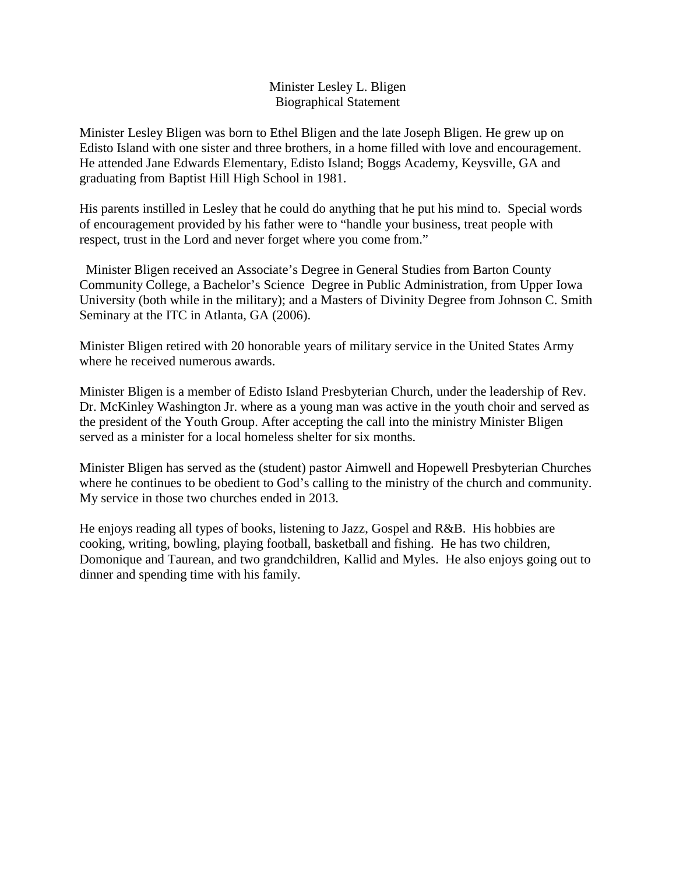## Minister Lesley L. Bligen Biographical Statement

Minister Lesley Bligen was born to Ethel Bligen and the late Joseph Bligen. He grew up on Edisto Island with one sister and three brothers, in a home filled with love and encouragement. He attended Jane Edwards Elementary, Edisto Island; Boggs Academy, Keysville, GA and graduating from Baptist Hill High School in 1981.

His parents instilled in Lesley that he could do anything that he put his mind to. Special words of encouragement provided by his father were to "handle your business, treat people with respect, trust in the Lord and never forget where you come from."

Minister Bligen received an Associate's Degree in General Studies from Barton County Community College, a Bachelor's Science Degree in Public Administration, from Upper Iowa University (both while in the military); and a Masters of Divinity Degree from Johnson C. Smith Seminary at the ITC in Atlanta, GA (2006).

Minister Bligen retired with 20 honorable years of military service in the United States Army where he received numerous awards.

Minister Bligen is a member of Edisto Island Presbyterian Church, under the leadership of Rev. Dr. McKinley Washington Jr. where as a young man was active in the youth choir and served as the president of the Youth Group. After accepting the call into the ministry Minister Bligen served as a minister for a local homeless shelter for six months.

Minister Bligen has served as the (student) pastor Aimwell and Hopewell Presbyterian Churches where he continues to be obedient to God's calling to the ministry of the church and community. My service in those two churches ended in 2013.

He enjoys reading all types of books, listening to Jazz, Gospel and R&B. His hobbies are cooking, writing, bowling, playing football, basketball and fishing. He has two children, Domonique and Taurean, and two grandchildren, Kallid and Myles. He also enjoys going out to dinner and spending time with his family.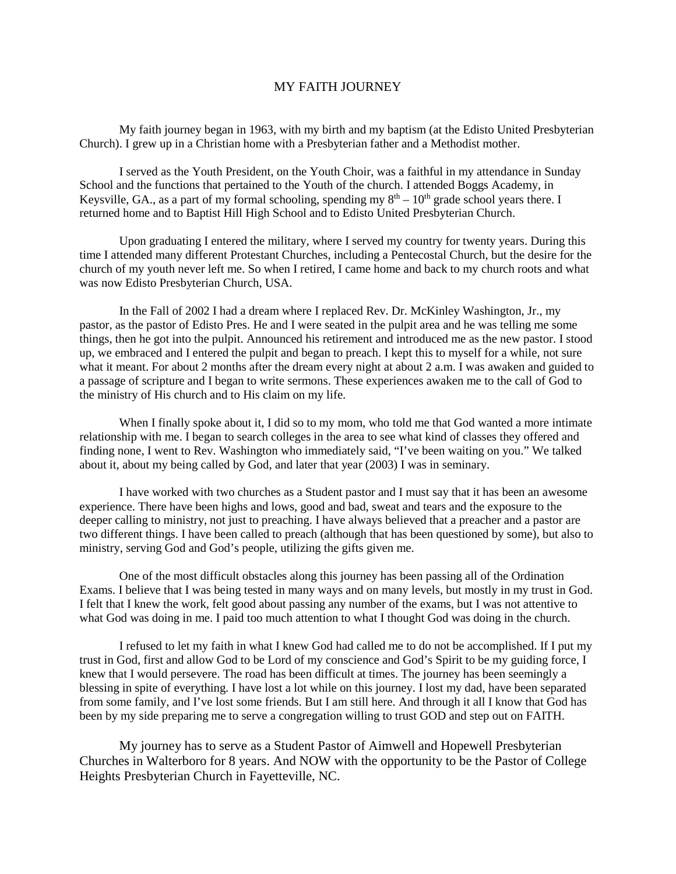## MY FAITH JOURNEY

My faith journey began in 1963, with my birth and my baptism (at the Edisto United Presbyterian Church). I grew up in a Christian home with a Presbyterian father and a Methodist mother.

I served as the Youth President, on the Youth Choir, was a faithful in my attendance in Sunday School and the functions that pertained to the Youth of the church. I attended Boggs Academy, in Keysville, GA., as a part of my formal schooling, spending my  $8<sup>th</sup> - 10<sup>th</sup>$  grade school years there. I returned home and to Baptist Hill High School and to Edisto United Presbyterian Church.

Upon graduating I entered the military, where I served my country for twenty years. During this time I attended many different Protestant Churches, including a Pentecostal Church, but the desire for the church of my youth never left me. So when I retired, I came home and back to my church roots and what was now Edisto Presbyterian Church, USA.

In the Fall of 2002 I had a dream where I replaced Rev. Dr. McKinley Washington, Jr., my pastor, as the pastor of Edisto Pres. He and I were seated in the pulpit area and he was telling me some things, then he got into the pulpit. Announced his retirement and introduced me as the new pastor. I stood up, we embraced and I entered the pulpit and began to preach. I kept this to myself for a while, not sure what it meant. For about 2 months after the dream every night at about 2 a.m. I was awaken and guided to a passage of scripture and I began to write sermons. These experiences awaken me to the call of God to the ministry of His church and to His claim on my life.

When I finally spoke about it, I did so to my mom, who told me that God wanted a more intimate relationship with me. I began to search colleges in the area to see what kind of classes they offered and finding none, I went to Rev. Washington who immediately said, "I've been waiting on you." We talked about it, about my being called by God, and later that year (2003) I was in seminary.

I have worked with two churches as a Student pastor and I must say that it has been an awesome experience. There have been highs and lows, good and bad, sweat and tears and the exposure to the deeper calling to ministry, not just to preaching. I have always believed that a preacher and a pastor are two different things. I have been called to preach (although that has been questioned by some), but also to ministry, serving God and God's people, utilizing the gifts given me.

One of the most difficult obstacles along this journey has been passing all of the Ordination Exams. I believe that I was being tested in many ways and on many levels, but mostly in my trust in God. I felt that I knew the work, felt good about passing any number of the exams, but I was not attentive to what God was doing in me. I paid too much attention to what I thought God was doing in the church.

I refused to let my faith in what I knew God had called me to do not be accomplished. If I put my trust in God, first and allow God to be Lord of my conscience and God's Spirit to be my guiding force, I knew that I would persevere. The road has been difficult at times. The journey has been seemingly a blessing in spite of everything. I have lost a lot while on this journey. I lost my dad, have been separated from some family, and I've lost some friends. But I am still here. And through it all I know that God has been by my side preparing me to serve a congregation willing to trust GOD and step out on FAITH.

My journey has to serve as a Student Pastor of Aimwell and Hopewell Presbyterian Churches in Walterboro for 8 years. And NOW with the opportunity to be the Pastor of College Heights Presbyterian Church in Fayetteville, NC.